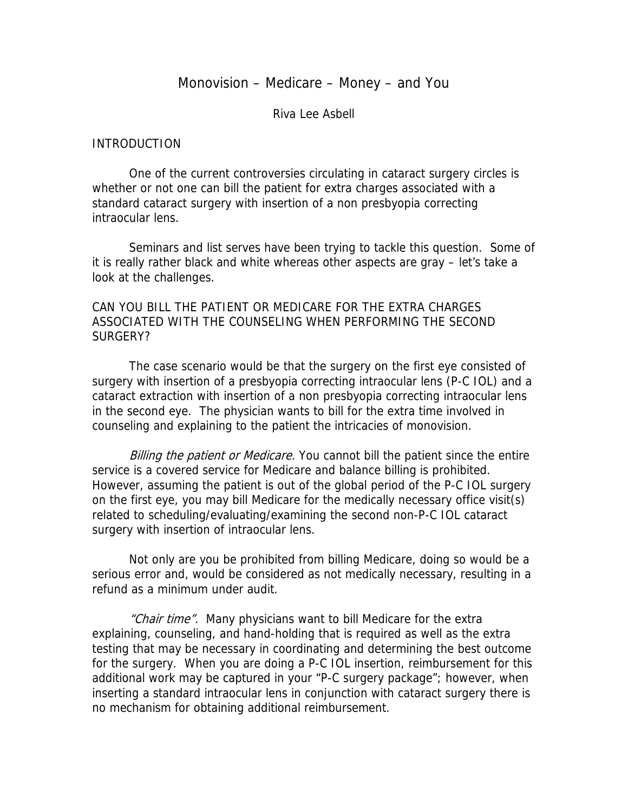# Monovision – Medicare – Money – and You

Riva Lee Asbell

#### INTRODUCTION

 One of the current controversies circulating in cataract surgery circles is whether or not one can bill the patient for extra charges associated with a standard cataract surgery with insertion of a non presbyopia correcting intraocular lens.

 Seminars and list serves have been trying to tackle this question. Some of it is really rather black and white whereas other aspects are gray – let's take a look at the challenges.

# CAN YOU BILL THE PATIENT OR MEDICARE FOR THE EXTRA CHARGES ASSOCIATED WITH THE COUNSELING WHEN PERFORMING THE SECOND SURGERY?

 The case scenario would be that the surgery on the first eye consisted of surgery with insertion of a presbyopia correcting intraocular lens (P-C IOL) and a cataract extraction with insertion of a non presbyopia correcting intraocular lens in the second eye. The physician wants to bill for the extra time involved in counseling and explaining to the patient the intricacies of monovision.

Billing the patient or Medicare. You cannot bill the patient since the entire service is a covered service for Medicare and balance billing is prohibited. However, assuming the patient is out of the global period of the P-C IOL surgery on the first eye, you may bill Medicare for the medically necessary office visit(s) related to scheduling/evaluating/examining the second non-P-C IOL cataract surgery with insertion of intraocular lens.

 Not only are you be prohibited from billing Medicare, doing so would be a serious error and, would be considered as not medically necessary, resulting in a refund as a minimum under audit.

"Chair time". Many physicians want to bill Medicare for the extra explaining, counseling, and hand-holding that is required as well as the extra testing that may be necessary in coordinating and determining the best outcome for the surgery. When you are doing a P-C IOL insertion, reimbursement for this additional work may be captured in your "P-C surgery package"; however, when inserting a standard intraocular lens in conjunction with cataract surgery there is no mechanism for obtaining additional reimbursement.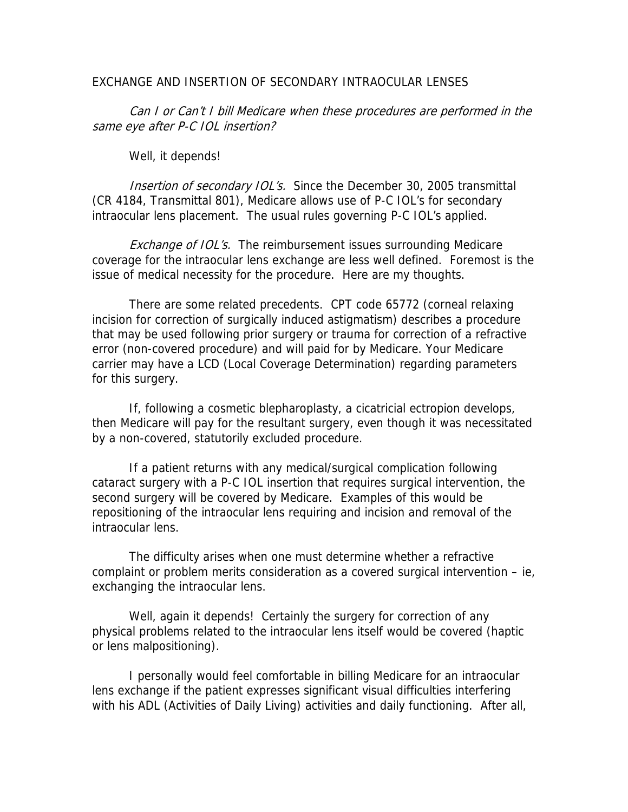#### EXCHANGE AND INSERTION OF SECONDARY INTRAOCULAR LENSES

Can I or Can't I bill Medicare when these procedures are performed in the same eye after P-C IOL insertion?

Well, it depends!

Insertion of secondary IOL's. Since the December 30, 2005 transmittal (CR 4184, Transmittal 801), Medicare allows use of P-C IOL's for secondary intraocular lens placement. The usual rules governing P-C IOL's applied.

Exchange of IOL's. The reimbursement issues surrounding Medicare coverage for the intraocular lens exchange are less well defined. Foremost is the issue of medical necessity for the procedure. Here are my thoughts.

 There are some related precedents. CPT code 65772 (corneal relaxing incision for correction of surgically induced astigmatism) describes a procedure that may be used following prior surgery or trauma for correction of a refractive error (non-covered procedure) and will paid for by Medicare. Your Medicare carrier may have a LCD (Local Coverage Determination) regarding parameters for this surgery.

 If, following a cosmetic blepharoplasty, a cicatricial ectropion develops, then Medicare will pay for the resultant surgery, even though it was necessitated by a non-covered, statutorily excluded procedure.

 If a patient returns with any medical/surgical complication following cataract surgery with a P-C IOL insertion that requires surgical intervention, the second surgery will be covered by Medicare. Examples of this would be repositioning of the intraocular lens requiring and incision and removal of the intraocular lens.

 The difficulty arises when one must determine whether a refractive complaint or problem merits consideration as a covered surgical intervention – ie, exchanging the intraocular lens.

Well, again it depends! Certainly the surgery for correction of any physical problems related to the intraocular lens itself would be covered (haptic or lens malpositioning).

 I personally would feel comfortable in billing Medicare for an intraocular lens exchange if the patient expresses significant visual difficulties interfering with his ADL (Activities of Daily Living) activities and daily functioning. After all,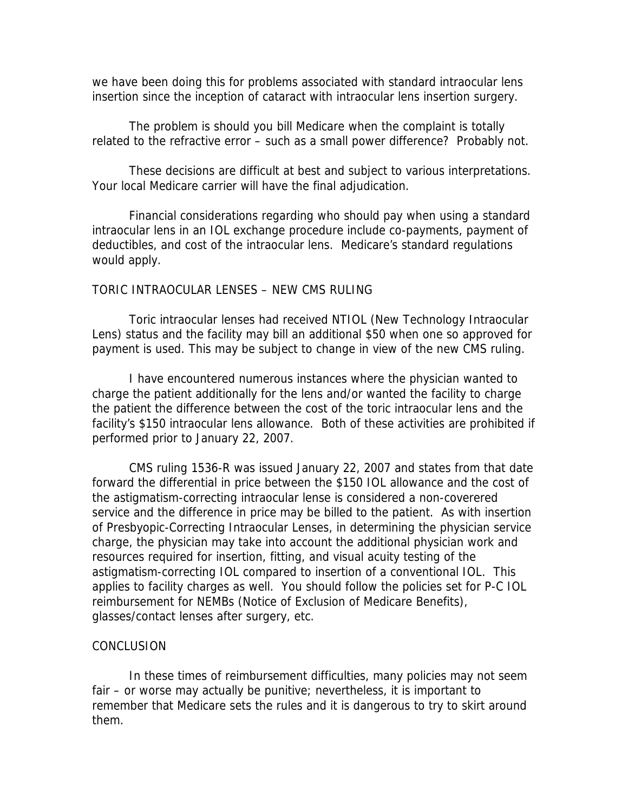we have been doing this for problems associated with standard intraocular lens insertion since the inception of cataract with intraocular lens insertion surgery.

 The problem is should you bill Medicare when the complaint is totally related to the refractive error – such as a small power difference? Probably not.

 These decisions are difficult at best and subject to various interpretations. Your local Medicare carrier will have the final adjudication.

 Financial considerations regarding who should pay when using a standard intraocular lens in an IOL exchange procedure include co-payments, payment of deductibles, and cost of the intraocular lens. Medicare's standard regulations would apply.

### TORIC INTRAOCULAR LENSES – NEW CMS RULING

 Toric intraocular lenses had received NTIOL (New Technology Intraocular Lens) status and the facility may bill an additional \$50 when one so approved for payment is used. This may be subject to change in view of the new CMS ruling.

 I have encountered numerous instances where the physician wanted to charge the patient additionally for the lens and/or wanted the facility to charge the patient the difference between the cost of the toric intraocular lens and the facility's \$150 intraocular lens allowance. Both of these activities are prohibited if performed prior to January 22, 2007.

 CMS ruling 1536-R was issued January 22, 2007 and states from that date forward the differential in price between the \$150 IOL allowance and the cost of the astigmatism-correcting intraocular lense is considered a non-coverered service and the difference in price may be billed to the patient. As with insertion of Presbyopic-Correcting Intraocular Lenses, in determining the physician service charge, the physician may take into account the additional physician work and resources required for insertion, fitting, and visual acuity testing of the astigmatism-correcting IOL compared to insertion of a conventional IOL. This applies to facility charges as well. You should follow the policies set for P-C IOL reimbursement for NEMBs (Notice of Exclusion of Medicare Benefits), glasses/contact lenses after surgery, etc.

### **CONCLUSION**

 In these times of reimbursement difficulties, many policies may not seem fair – or worse may actually be punitive; nevertheless, it is important to remember that Medicare sets the rules and it is dangerous to try to skirt around them.